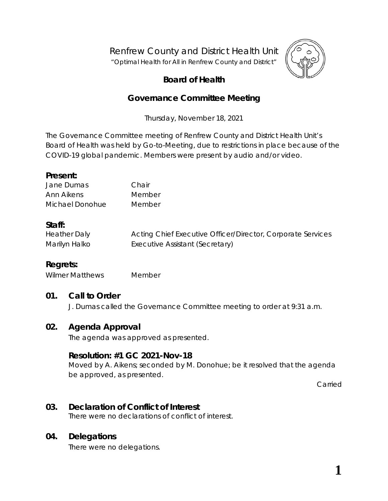Renfrew County and District Health Unit

"*Optimal Health for All in Renfrew County and District"*



# **Board of Health**

# **Governance Committee Meeting**

Thursday, November 18, 2021

The Governance Committee meeting of Renfrew County and District Health Unit's Board of Health was held by *Go-to-Meeting,* due to restrictions in place because of the COVID-19 global pandemic. Members were present by audio and/or video.

### **Present:**

| Jane Dumas      | Chair  |
|-----------------|--------|
| Ann Aikens      | Member |
| Michael Donohue | Member |

# **Staff:**

| <b>Heather Daly</b> | Acting Chief Executive Officer/Director, Corporate Services |
|---------------------|-------------------------------------------------------------|
| Marilyn Halko       | Executive Assistant (Secretary)                             |

# **Regrets:**

Wilmer Matthews Member

# **01. Call to Order**

J. Dumas called the Governance Committee meeting to order at 9:31 a.m.

# **02. Agenda Approval**

The agenda was approved as presented.

# **Resolution: #1 GC 2021-Nov-18**

Moved by A. Aikens; seconded by M. Donohue; be it resolved that the agenda be approved, as presented.

Carried

# **03. Declaration of Conflict of Interest**

There were no declarations of conflict of interest.

# **04. Delegations**

There were no delegations.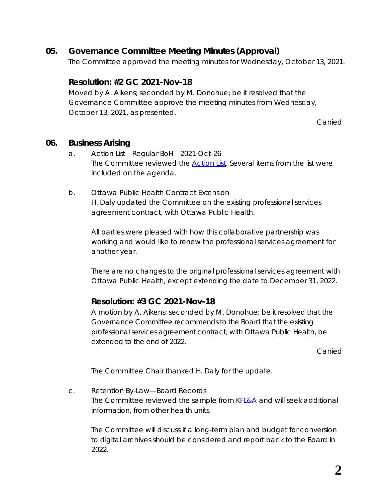# **05. Governance Committee Meeting Minutes (Approval)**

The Committee approved the meeting minutes for Wednesday, October 13, 2021.

## **Resolution: #2 GC 2021-Nov-18**

Moved by A. Aikens; seconded by M. Donohue; be it resolved that the Governance Committee approve the meeting minutes from Wednesday, October 13, 2021, as presented.

Carried

#### **06. Business Arising**

- a. Action List—Regular BoH—2021-Oct-26 The Committee reviewed the *[Action List](https://www.rcdhu.com/wp-content/uploads/2022/02/06.-a.-Action-List-Regular-BoH-Meeting-2021-Oct-26.pdf)*. Several items from the list were included on the agenda.
- b. Ottawa Public Health Contract Extension H. Daly updated the Committee on the existing professional services agreement contract, with Ottawa Public Health.

All parties were pleased with how this collaborative partnership was working and would like to renew the professional services agreement for another year.

There are no changes to the original professional services agreement with Ottawa Public Health, except extending the date to December 31, 2022.

# **Resolution: #3 GC 2021-Nov-18**

A motion by A. Aikens: seconded by M. Donohue; be it resolved that the Governance Committee recommends to the Board that the existing professional services agreement contract, with Ottawa Public Health, be extended to the end of 2022.

Carried

The Committee Chair thanked H. Daly for the update.

c. Retention By-Law—Board Records The Committee reviewed the sample from *[KFL&A](https://www.rcdhu.com/wp-content/uploads/2022/02/06.-c.-Retention-By-Law-Board-Records-KFLA-sample.pdf)* and will seek additional information, from other health units.

The Committee will discuss if a long-term plan and budget for conversion to digital archives should be considered and report back to the Board in 2022.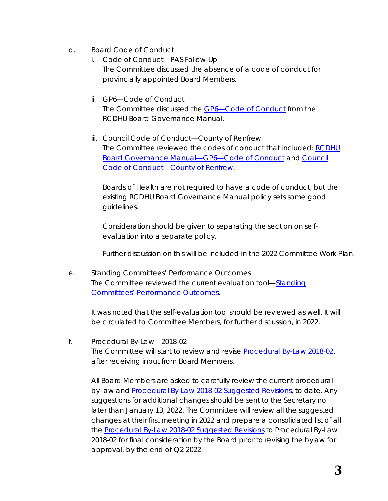- d. Board Code of Conduct
	- i. Code of Conduct—PAS Follow-Up The Committee discussed the absence of a code of conduct for provincially appointed Board Members.
	- ii. GP6—Code of Conduct The Committee discussed the *[GP6—Code of Conduct](https://www.rcdhu.com/wp-content/uploads/2022/02/06.-d.-ii.-GP-6-Board-of-Health-Code-of-Conduct.pdf)* from the RCDHU Board Governance Manual.
	- iii. Council Code of Conduct—County of Renfrew The Committee reviewed the codes of conduct that included: *[RCDHU](https://www.rcdhu.com/wp-content/uploads/2022/02/06.-d.-ii.-GP-6-Board-of-Health-Code-of-Conduct.pdf)  [Board Governance Manual—GP6—Code of Conduct](https://www.rcdhu.com/wp-content/uploads/2022/02/06.-d.-ii.-GP-6-Board-of-Health-Code-of-Conduct.pdf)* and *[Council](https://www.rcdhu.com/wp-content/uploads/2022/02/06.-d.-iii.-Council-Code-of-Conduct-County-of-Renfrew-1.pdf)  [Code of Conduct—County of Renfrew](https://www.rcdhu.com/wp-content/uploads/2022/02/06.-d.-iii.-Council-Code-of-Conduct-County-of-Renfrew-1.pdf)*.

Boards of Health are not required to have a code of conduct, but the existing RCDHU Board Governance Manual policy sets some good guidelines.

Consideration should be given to separating the section on selfevaluation into a separate policy.

Further discussion on this will be included in the 2022 Committee Work Plan.

e. Standing Committees' Performance Outcomes The Committee reviewed the current evaluation tool—*[Standing](https://www.rcdhu.com/wp-content/uploads/2022/02/06.-e.-Standing-Committees-Performance-Outcomes-Governance-revised-2019-Apr-11.pdf)  [Committees' Performance Outcomes](https://www.rcdhu.com/wp-content/uploads/2022/02/06.-e.-Standing-Committees-Performance-Outcomes-Governance-revised-2019-Apr-11.pdf)*.

It was noted that the self-evaluation tool should be reviewed as well. It will be circulated to Committee Members, for further discussion, in 2022.

f. Procedural By-Law—2018-02 The Committee will start to review and revise *[Procedural By-Law 2018-02](https://www.rcdhu.com/wp-content/uploads/2021/11/11.-b.-BoH-Procedural-By-Law-2018-02.pdf)*, after receiving input from Board Members.

All Board Members are asked to carefully review the current procedural by-law and *[Procedural By-Law 2018-02 Suggested Revisions](https://www.rcdhu.com/wp-content/uploads/2022/02/06.-f.-i.-Procedural-By-Law-Suggested-Revisions.pdf)*, to date. Any suggestions for additional changes should be sent to the Secretary no later than January 13, 2022. The Committee will review all the suggested changes at their first meeting in 2022 and prepare a consolidated list of all the *[Procedural By-Law 2018-02 Suggested Revisions](https://www.rcdhu.com/wp-content/uploads/2022/02/06.-f.-i.-Procedural-By-Law-Suggested-Revisions.pdf)* to Procedural By-Law 2018-02 for final consideration by the Board prior to revising the bylaw for approval, by the end of Q2 2022.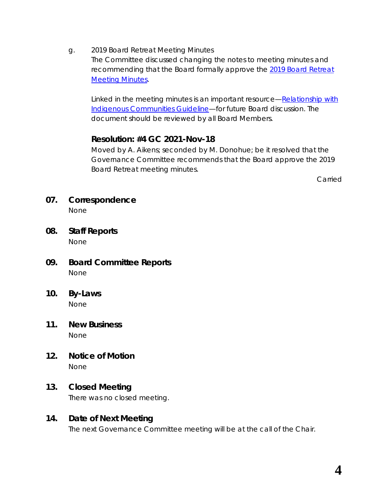g. 2019 Board Retreat Meeting Minutes The Committee discussed changing the notes to meeting minutes and recommending that the Board formally approve the *[2019 Board Retreat](https://www.rcdhu.com/wp-content/uploads/2022/02/06.-g.-2019-Board-Retreat-Meeting-Minutes-1.pdf)  [Meeting Minutes](https://www.rcdhu.com/wp-content/uploads/2022/02/06.-g.-2019-Board-Retreat-Meeting-Minutes-1.pdf)*.

Linked in the meeting minutes is an important resource—*[Relationship with](https://health.gov.on.ca/en/pro/programs/publichealth/oph_standards/docs/protocols_guidelines/Relationship_with_Indigenous_Communities_Guideline_en.pdf)  [Indigenous Communities Guideline—](https://health.gov.on.ca/en/pro/programs/publichealth/oph_standards/docs/protocols_guidelines/Relationship_with_Indigenous_Communities_Guideline_en.pdf)*for future Board discussion. The document should be reviewed by all Board Members.

# **Resolution: #4 GC 2021-Nov-18**

Moved by A. Aikens; seconded by M. Donohue; be it resolved that the Governance Committee recommends that the Board approve the 2019 Board Retreat meeting minutes.

Carried

**07. Correspondence**

None

- **08. Staff Reports** None
- **09. Board Committee Reports** None
- **10. By-Laws** None
- **11. New Business** None
- **12. Notice of Motion** None

# **13. Closed Meeting**

There was no closed meeting.

#### **14. Date of Next Meeting**

The next Governance Committee meeting will be at the call of the Chair.